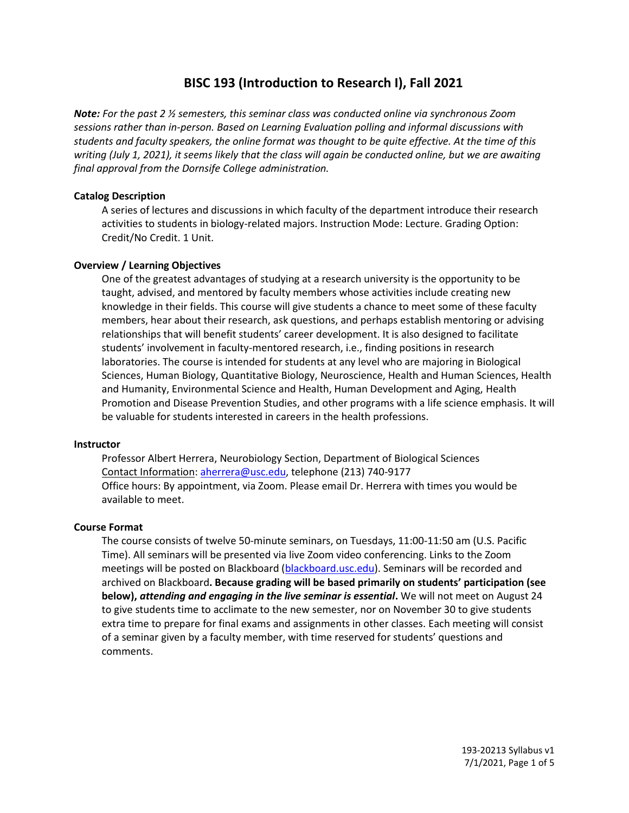# **BISC 193 (Introduction to Research I), Fall 2021**

*Note: For the past 2 ½ semesters, this seminar class was conducted online via synchronous Zoom sessions rather than in-person. Based on Learning Evaluation polling and informal discussions with students and faculty speakers, the online format was thought to be quite effective. At the time of this writing (July 1, 2021), it seems likely that the class will again be conducted online, but we are awaiting final approval from the Dornsife College administration.*

## **Catalog Description**

A series of lectures and discussions in which faculty of the department introduce their research activities to students in biology-related majors. Instruction Mode: Lecture. Grading Option: Credit/No Credit. 1 Unit.

## **Overview / Learning Objectives**

One of the greatest advantages of studying at a research university is the opportunity to be taught, advised, and mentored by faculty members whose activities include creating new knowledge in their fields. This course will give students a chance to meet some of these faculty members, hear about their research, ask questions, and perhaps establish mentoring or advising relationships that will benefit students' career development. It is also designed to facilitate students' involvement in faculty-mentored research, i.e., finding positions in research laboratories. The course is intended for students at any level who are majoring in Biological Sciences, Human Biology, Quantitative Biology, Neuroscience, Health and Human Sciences, Health and Humanity, Environmental Science and Health, Human Development and Aging, Health Promotion and Disease Prevention Studies, and other programs with a life science emphasis. It will be valuable for students interested in careers in the health professions.

#### **Instructor**

Professor Albert Herrera, Neurobiology Section, Department of Biological Sciences Contact Information: [aherrera@usc.edu,](mailto:aherrera@usc.edu) telephone (213) 740-9177 Office hours: By appointment, via Zoom. Please email Dr. Herrera with times you would be available to meet.

#### **Course Format**

The course consists of twelve 50-minute seminars, on Tuesdays, 11:00-11:50 am (U.S. Pacific Time). All seminars will be presented via live Zoom video conferencing. Links to the Zoom meetings will be posted on Blackboard [\(blackboard.usc.edu\)](https://blackboard.usc.edu/). Seminars will be recorded and archived on Blackboard**. Because grading will be based primarily on students' participation (see below),** *attending and engaging in the live seminar is essential***.** We will not meet on August 24 to give students time to acclimate to the new semester, nor on November 30 to give students extra time to prepare for final exams and assignments in other classes. Each meeting will consist of a seminar given by a faculty member, with time reserved for students' questions and comments.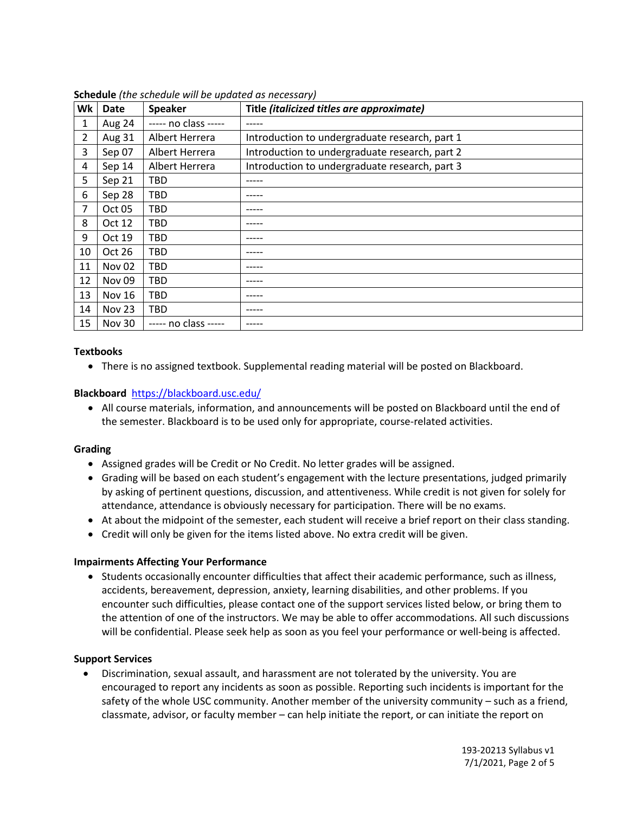| Wk             | <b>Date</b>       | <b>Speaker</b>       | Title (italicized titles are approximate)      |
|----------------|-------------------|----------------------|------------------------------------------------|
| 1              | Aug 24            | ----- no class ----- |                                                |
| $\overline{2}$ | Aug 31            | Albert Herrera       | Introduction to undergraduate research, part 1 |
| 3              | Sep 07            | Albert Herrera       | Introduction to undergraduate research, part 2 |
| 4              | Sep 14            | Albert Herrera       | Introduction to undergraduate research, part 3 |
| 5              | Sep 21            | <b>TBD</b>           | -----                                          |
| 6              | Sep 28            | TBD                  |                                                |
| 7              | Oct 05            | TBD                  |                                                |
| 8              | Oct 12            | TBD                  | ------                                         |
| 9              | Oct 19            | TBD                  |                                                |
| 10             | Oct 26            | TBD                  |                                                |
| 11             | Nov <sub>02</sub> | TBD                  |                                                |
| 12             | <b>Nov 09</b>     | TBD                  |                                                |
| 13             | <b>Nov 16</b>     | TBD                  |                                                |
| 14             | Nov 23            | TBD                  | -----                                          |
| 15             | <b>Nov 30</b>     | $---$ no class $---$ |                                                |

**Schedule** *(the schedule will be updated as necessary)*

### **Textbooks**

There is no assigned textbook. Supplemental reading material will be posted on Blackboard.

## **Blackboard** <https://blackboard.usc.edu/>

 All course materials, information, and announcements will be posted on Blackboard until the end of the semester. Blackboard is to be used only for appropriate, course-related activities.

## **Grading**

- Assigned grades will be Credit or No Credit. No letter grades will be assigned.
- Grading will be based on each student's engagement with the lecture presentations, judged primarily by asking of pertinent questions, discussion, and attentiveness. While credit is not given for solely for attendance, attendance is obviously necessary for participation. There will be no exams.
- At about the midpoint of the semester, each student will receive a brief report on their class standing.
- Credit will only be given for the items listed above. No extra credit will be given.

#### **Impairments Affecting Your Performance**

• Students occasionally encounter difficulties that affect their academic performance, such as illness, accidents, bereavement, depression, anxiety, learning disabilities, and other problems. If you encounter such difficulties, please contact one of the support services listed below, or bring them to the attention of one of the instructors. We may be able to offer accommodations. All such discussions will be confidential. Please seek help as soon as you feel your performance or well-being is affected.

## **Support Services**

 Discrimination, sexual assault, and harassment are not tolerated by the university. You are encouraged to report any incidents as soon as possible. Reporting such incidents is important for the safety of the whole USC community. Another member of the university community – such as a friend, classmate, advisor, or faculty member – can help initiate the report, or can initiate the report on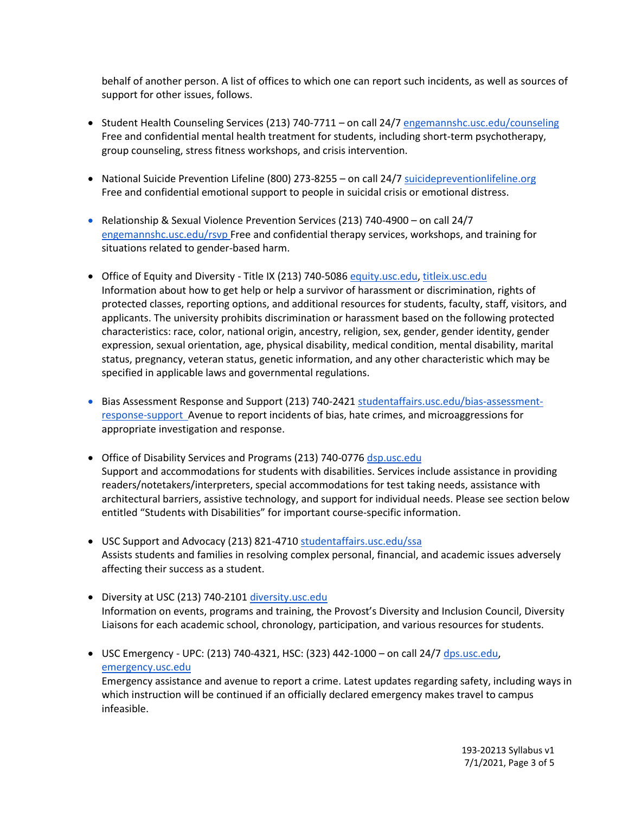behalf of another person. A list of offices to which one can report such incidents, as well as sources of support for other issues, follows.

- Student Health Counseling Services (213) 740-7711 on call 24/7 [engemannshc.usc.edu/counseling](https://engemannshc.usc.edu/counseling/) Free and confidential mental health treatment for students, including short-term psychotherapy, group counseling, stress fitness workshops, and crisis intervention.
- National Suicide Prevention Lifeline (800) 273-8255 on call 24/[7 suicidepreventionlifeline.org](http://www.suicidepreventionlifeline.org/) Free and confidential emotional support to people in suicidal crisis or emotional distress.
- Relationship & Sexual Violence Prevention Services (213) 740-4900 on call 24/7 [engemannshc.usc.edu/rsvp](https://engemannshc.usc.edu/rsvp/) Free and confidential therapy services, workshops, and training for situations related to gender-based harm[.](https://engemannshc.usc.edu/rsvp/)
- Office of Equity and Diversity Title IX (213) 740-5086 [equity.usc.edu,](https://equity.usc.edu/) [titleix.usc.edu](http://titleix.usc.edu/) Information about how to get help or help a survivor of harassment or discrimination, rights of protected classes, reporting options, and additional resources for students, faculty, staff, visitors, and applicants. The university prohibits discrimination or harassment based on the following protected characteristics: race, color, national origin, ancestry, religion, sex, gender, gender identity, gender expression, sexual orientation, age, physical disability, medical condition, mental disability, marital status, pregnancy, veteran status, genetic information, and any other characteristic which may be specified in applicable laws and governmental regulations[.](http://sarc.usc.edu/)
- Bias Assessment Response and Support (213) 740-242[1 studentaffairs.usc.edu/bias-assessment](https://studentaffairs.usc.edu/bias-assessment-response-support/)[response-support](https://studentaffairs.usc.edu/bias-assessment-response-support/) Avenue to report incidents of bias, hate crimes, and microaggressions for appropriate investigation and response[.](https://studentaffairs.usc.edu/bias-assessment-response-support/)
- Office of Disability Services and Programs (213) 740-0776 [dsp.usc.edu](http://dsp.usc.edu/) Support and accommodations for students with disabilities. Services include assistance in providing readers/notetakers/interpreters, special accommodations for test taking needs, assistance with architectural barriers, assistive technology, and support for individual needs. Please see section below entitled "Students with Disabilities" for important course-specific informatio[n.](http://dsp.usc.edu/)
- USC Support and Advocacy (213) 821-471[0 studentaffairs.usc.edu/ssa](https://studentaffairs.usc.edu/ssa/) Assists students and families in resolving complex personal, financial, and academic issues adversely affecting their success as a student[.](https://studentaffairs.usc.edu/ssa/)
- Diversity at USC (213) 740-2101 [diversity.usc.edu](https://diversity.usc.edu/) Information on events, programs and training, the Provost's Diversity and Inclusion Council, Diversity Liaisons for each academic school, chronology, participation, and various resources for students.
- $\bullet$  USC Emergency UPC: (213) 740-4321, HSC: (323) 442-1000 on call 24/7 [dps.usc.edu,](http://dps.usc.edu/) [emergency.usc.edu](http://emergency.usc.edu/)

Emergency assistance and avenue to report a crime. Latest updates regarding safety, including ways in which instruction will be continued if an officially declared emergency makes travel to campus infeasible.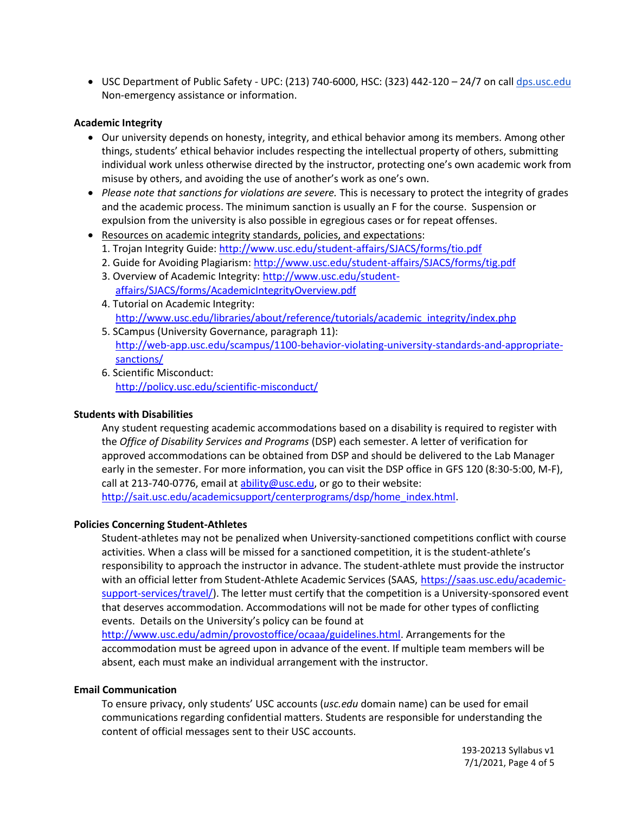USC Department of Public Safety - UPC: (213) 740-6000, HSC: (323) 442-120 – 24/7 on cal[l dps.usc.edu](http://dps.usc.edu/) Non-emergency assistance or information.

## **Academic Integrity**

- Our university depends on honesty, integrity, and ethical behavior among its members. Among other things, students' ethical behavior includes respecting the intellectual property of others, submitting individual work unless otherwise directed by the instructor, protecting one's own academic work from misuse by others, and avoiding the use of another's work as one's own.
- *Please note that sanctions for violations are severe.* This is necessary to protect the integrity of grades and the academic process. The minimum sanction is usually an F for the course. Suspension or expulsion from the university is also possible in egregious cases or for repeat offenses.
- Resources on academic integrity standards, policies, and expectations:
	- 1. Trojan Integrity Guide:<http://www.usc.edu/student-affairs/SJACS/forms/tio.pdf>
	- 2. Guide for Avoiding Plagiarism:<http://www.usc.edu/student-affairs/SJACS/forms/tig.pdf>
	- 3. Overview of Academic Integrity[: http://www.usc.edu/student](http://www.usc.edu/student-affairs/SJACS/forms/AcademicIntegrityOverview.pdf)[affairs/SJACS/forms/AcademicIntegrityOverview.pdf](http://www.usc.edu/student-affairs/SJACS/forms/AcademicIntegrityOverview.pdf)
	- 4. Tutorial on Academic Integrity: [http://www.usc.edu/libraries/about/reference/tutorials/academic\\_integrity/index.php](http://www.usc.edu/libraries/about/reference/tutorials/academic_integrity/index.php)
	- 5. SCampus (University Governance, paragraph 11): [http://web-app.usc.edu/scampus/1100-behavior-violating-university-standards-and-appropriate](http://web-app.usc.edu/scampus/1100-behavior-violating-university-standards-and-appropriate-sanctions/)[sanctions/](http://web-app.usc.edu/scampus/1100-behavior-violating-university-standards-and-appropriate-sanctions/)
	- 6. Scientific Misconduct: <http://policy.usc.edu/scientific-misconduct/>

#### **Students with Disabilities**

Any student requesting academic accommodations based on a disability is required to register with the *Office of Disability Services and Programs* (DSP) each semester. A letter of verification for approved accommodations can be obtained from DSP and should be delivered to the Lab Manager early in the semester. For more information, you can visit the DSP office in GFS 120 (8:30-5:00, M-F), call at 213-740-0776, email at [ability@usc.edu,](mailto:ability@usc.edu) or go to their website: [http://sait.usc.edu/academicsupport/centerprograms/dsp/home\\_index.html.](http://sait.usc.edu/academicsupport/centerprograms/dsp/home_index.html)

#### **Policies Concerning Student-Athletes**

Student‐athletes may not be penalized when University‐sanctioned competitions conflict with course activities. When a class will be missed for a sanctioned competition, it is the student‐athlete's responsibility to approach the instructor in advance. The student-athlete must provide the instructor with an official letter from Student-Athlete Academic Services (SAAS, [https://saas.usc.edu/academic](https://saas.usc.edu/academic-support-services/travel/)[support-services/travel/\)](https://saas.usc.edu/academic-support-services/travel/). The letter must certify that the competition is a University-sponsored event that deserves accommodation. Accommodations will not be made for other types of conflicting events. Details on the University's policy can be found at

[http://www.usc.edu/admin/provostoffice/ocaaa/guidelines.html.](http://www.usc.edu/admin/provostoffice/ocaaa/guidelines.html) Arrangements for the accommodation must be agreed upon in advance of the event. If multiple team members will be absent, each must make an individual arrangement with the instructor.

#### **Email Communication**

To ensure privacy, only students' USC accounts (*usc.edu* domain name) can be used for email communications regarding confidential matters. Students are responsible for understanding the content of official messages sent to their USC accounts.